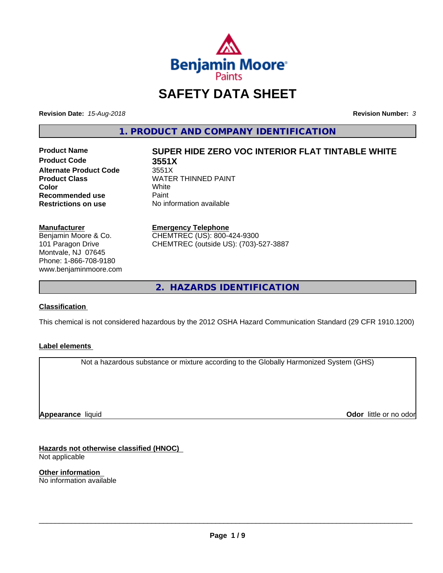

## **SAFETY DATA SHEET**

**Revision Date:** *15-Aug-2018* **Revision Number:** *3*

**1. PRODUCT AND COMPANY IDENTIFICATION**

**Product Code 3551X Alternate Product Code** 3551X<br> **Product Class** WATEI **Recommended use** Paint<br> **Restrictions on use** No inf

# **Product Name SUPER HIDE ZERO VOC INTERIOR FLAT TINTABLE WHITE**

**WATER THINNED PAINT**<br>White **Color** White White **No information available** 

#### **Manufacturer**

Benjamin Moore & Co. 101 Paragon Drive Montvale, NJ 07645 Phone: 1-866-708-9180 www.benjaminmoore.com

#### **Emergency Telephone**

CHEMTREC (US): 800-424-9300 CHEMTREC (outside US): (703)-527-3887

**2. HAZARDS IDENTIFICATION**

#### **Classification**

This chemical is not considered hazardous by the 2012 OSHA Hazard Communication Standard (29 CFR 1910.1200)

#### **Label elements**

Not a hazardous substance or mixture according to the Globally Harmonized System (GHS)

**Appearance** liquid

**Odor** little or no odor

**Hazards not otherwise classified (HNOC)** Not applicable

**Other information** No information available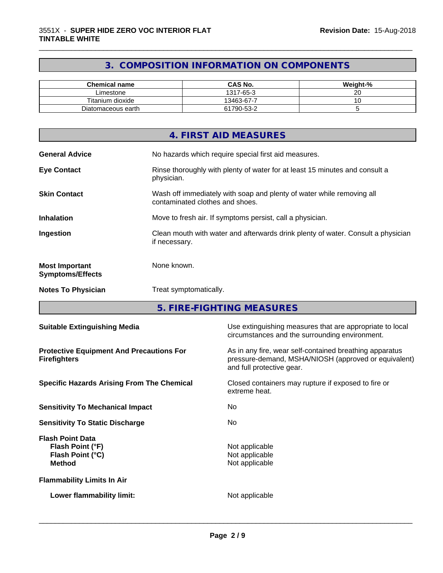### **3. COMPOSITION INFORMATION ON COMPONENTS**

\_\_\_\_\_\_\_\_\_\_\_\_\_\_\_\_\_\_\_\_\_\_\_\_\_\_\_\_\_\_\_\_\_\_\_\_\_\_\_\_\_\_\_\_\_\_\_\_\_\_\_\_\_\_\_\_\_\_\_\_\_\_\_\_\_\_\_\_\_\_\_\_\_\_\_\_\_\_\_\_\_\_\_\_\_\_\_\_\_\_\_\_\_

| <b>Chemical name</b> | <b>CAS No.</b> | Weight-% |
|----------------------|----------------|----------|
| Limestone            | 1317-65-3      | ~~<br>20 |
| Titanium dioxide     | 13463-67-7     | ~        |
| Diatomaceous earth   | 61790-53-2     |          |

|                                                  | 4. FIRST AID MEASURES                                                                                    |
|--------------------------------------------------|----------------------------------------------------------------------------------------------------------|
| <b>General Advice</b>                            | No hazards which require special first aid measures.                                                     |
| <b>Eye Contact</b>                               | Rinse thoroughly with plenty of water for at least 15 minutes and consult a<br>physician.                |
| <b>Skin Contact</b>                              | Wash off immediately with soap and plenty of water while removing all<br>contaminated clothes and shoes. |
| <b>Inhalation</b>                                | Move to fresh air. If symptoms persist, call a physician.                                                |
| Ingestion                                        | Clean mouth with water and afterwards drink plenty of water. Consult a physician<br>if necessary.        |
| <b>Most Important</b><br><b>Symptoms/Effects</b> | None known.                                                                                              |
| <b>Notes To Physician</b>                        | Treat symptomatically.                                                                                   |

**5. FIRE-FIGHTING MEASURES**

| <b>Suitable Extinguishing Media</b>                                              | Use extinguishing measures that are appropriate to local<br>circumstances and the surrounding environment.                                   |
|----------------------------------------------------------------------------------|----------------------------------------------------------------------------------------------------------------------------------------------|
| <b>Protective Equipment And Precautions For</b><br><b>Firefighters</b>           | As in any fire, wear self-contained breathing apparatus<br>pressure-demand, MSHA/NIOSH (approved or equivalent)<br>and full protective gear. |
| <b>Specific Hazards Arising From The Chemical</b>                                | Closed containers may rupture if exposed to fire or<br>extreme heat.                                                                         |
| <b>Sensitivity To Mechanical Impact</b>                                          | No.                                                                                                                                          |
| <b>Sensitivity To Static Discharge</b>                                           | No.                                                                                                                                          |
| <b>Flash Point Data</b><br>Flash Point (°F)<br>Flash Point (°C)<br><b>Method</b> | Not applicable<br>Not applicable<br>Not applicable                                                                                           |
| <b>Flammability Limits In Air</b>                                                |                                                                                                                                              |
| Lower flammability limit:                                                        | Not applicable                                                                                                                               |
|                                                                                  |                                                                                                                                              |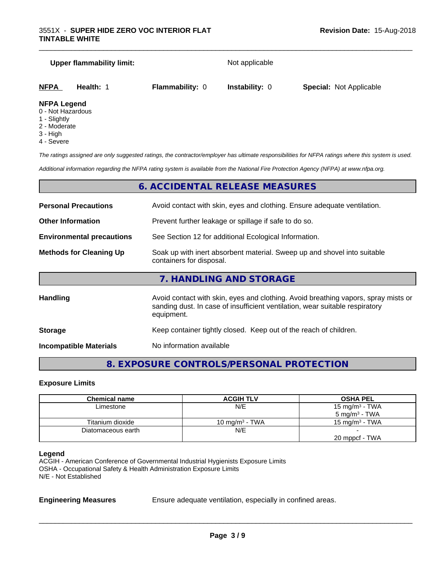#### **Upper flammability limit:** Not applicable

\_\_\_\_\_\_\_\_\_\_\_\_\_\_\_\_\_\_\_\_\_\_\_\_\_\_\_\_\_\_\_\_\_\_\_\_\_\_\_\_\_\_\_\_\_\_\_\_\_\_\_\_\_\_\_\_\_\_\_\_\_\_\_\_\_\_\_\_\_\_\_\_\_\_\_\_\_\_\_\_\_\_\_\_\_\_\_\_\_\_\_\_\_

| NFPA            | Health: | <b>Flammability: 0</b> | <b>Instability: 0</b> | <b>Special: Not Applicable</b> |  |
|-----------------|---------|------------------------|-----------------------|--------------------------------|--|
| <b>NIMA I</b> I |         |                        |                       |                                |  |

#### **NFPA Legend**

- 0 Not Hazardous
- 1 Slightly
- 2 Moderate
- 3 High
- 4 Severe

*The ratings assigned are only suggested ratings, the contractor/employer has ultimate responsibilities for NFPA ratings where this system is used.*

*Additional information regarding the NFPA rating system is available from the National Fire Protection Agency (NFPA) at www.nfpa.org.*

#### **6. ACCIDENTAL RELEASE MEASURES**

| <b>Personal Precautions</b><br>Avoid contact with skin, eyes and clothing. Ensure adequate ventilation.                                |                                                                                                                                                                                  |  |
|----------------------------------------------------------------------------------------------------------------------------------------|----------------------------------------------------------------------------------------------------------------------------------------------------------------------------------|--|
| <b>Other Information</b>                                                                                                               | Prevent further leakage or spillage if safe to do so.                                                                                                                            |  |
| See Section 12 for additional Ecological Information.<br><b>Environmental precautions</b>                                              |                                                                                                                                                                                  |  |
| Soak up with inert absorbent material. Sweep up and shovel into suitable<br><b>Methods for Cleaning Up</b><br>containers for disposal. |                                                                                                                                                                                  |  |
|                                                                                                                                        | 7. HANDLING AND STORAGE                                                                                                                                                          |  |
| <b>Handling</b>                                                                                                                        | Avoid contact with skin, eyes and clothing. Avoid breathing vapors, spray mists or<br>sanding dust. In case of insufficient ventilation, wear suitable respiratory<br>equipment. |  |
| <b>Storage</b>                                                                                                                         | Keep container tightly closed. Keep out of the reach of children.                                                                                                                |  |

**Incompatible Materials** No information available

## **8. EXPOSURE CONTROLS/PERSONAL PROTECTION**

#### **Exposure Limits**

| Chemical name      | <b>ACGIH TLV</b>  | <b>OSHA PEL</b>            |
|--------------------|-------------------|----------------------------|
| Limestone          | N/E               | 15 mg/m <sup>3</sup> - TWA |
|                    |                   | $5 \text{ mg/m}^3$ - TWA   |
| Titanium dioxide   | 10 mg/m $3$ - TWA | 15 mg/m $3$ - TWA          |
| Diatomaceous earth | N/E               |                            |
|                    |                   | 20 mppcf - TWA             |

#### **Legend**

ACGIH - American Conference of Governmental Industrial Hygienists Exposure Limits OSHA - Occupational Safety & Health Administration Exposure Limits N/E - Not Established

**Engineering Measures** Ensure adequate ventilation, especially in confined areas.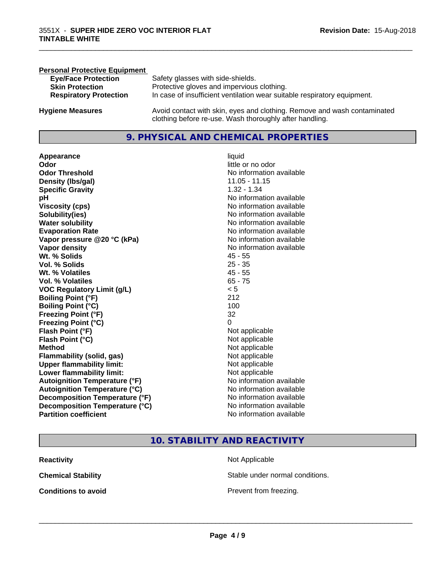| <b>Personal Protective Equipment</b> |                                                                                                                                     |
|--------------------------------------|-------------------------------------------------------------------------------------------------------------------------------------|
| <b>Eye/Face Protection</b>           | Safety glasses with side-shields.                                                                                                   |
| <b>Skin Protection</b>               | Protective gloves and impervious clothing.                                                                                          |
| <b>Respiratory Protection</b>        | In case of insufficient ventilation wear suitable respiratory equipment.                                                            |
| <b>Hygiene Measures</b>              | Avoid contact with skin, eyes and clothing. Remove and wash contaminated<br>clothing before re-use. Wash thoroughly after handling. |

#### **9. PHYSICAL AND CHEMICAL PROPERTIES**

**Appearance** liquid **Odor** little or no odor **Odor Threshold**<br> **Density (Ibs/gal)**<br> **Density (Ibs/gal)**<br> **No information available**<br>
11.05 - 11.15 **Density (Ibs/gal) Specific Gravity** 1.32 - 1.34 **pH pH**  $\blacksquare$ **Viscosity (cps)** <br> **Viscosity (cps)** No information available<br>
No information available<br>
No information available **Solubility(ies)**<br> **No** information available<br> **Water solubility**<br> **Water solubility Evaporation Rate No information available No information available Vapor pressure @20 °C (kPa)** No information available **Vapor density**<br> **Vapor density**<br> **With % Solids**<br>
With % Solids
2018 Wt. % Solids **Vol. % Solids** 25 - 35 **Wt. % Volatiles** 45 - 55 **Vol. % Volatiles** 65 - 75<br> **VOC Regulatory Limit (g/L)** 65 - 75 **VOC** Regulatory Limit (g/L) **Boiling Point (°F)** 212 **Boiling Point**  $(^{\circ}C)$  100 **Freezing Point (°F)** 32 **Freezing Point (°C)** 0 **Flash Point (°F)**<br> **Flash Point (°C)**<br> **Flash Point (°C)**<br> **C Flash Point (°C) Method** Not applicable Not applicable **Flammability (solid, gas)**<br> **Upper flammability limit:**<br>
Upper flammability limit:<br>  $\begin{array}{ccc}\n\bullet & \bullet & \bullet \\
\bullet & \bullet & \bullet\n\end{array}$ **Upper flammability limit: Lower flammability limit:** Not applicable **Autoignition Temperature (°F)** No information available **Autoignition Temperature (°C)** No information available **Decomposition Temperature (°F)** No information available<br> **Decomposition Temperature (°C)** No information available **Decomposition Temperature (°C)**<br>Partition coefficient

**No information available No information available** 

\_\_\_\_\_\_\_\_\_\_\_\_\_\_\_\_\_\_\_\_\_\_\_\_\_\_\_\_\_\_\_\_\_\_\_\_\_\_\_\_\_\_\_\_\_\_\_\_\_\_\_\_\_\_\_\_\_\_\_\_\_\_\_\_\_\_\_\_\_\_\_\_\_\_\_\_\_\_\_\_\_\_\_\_\_\_\_\_\_\_\_\_\_

#### **10. STABILITY AND REACTIVITY**

| Reactivity          |  |  |
|---------------------|--|--|
| Chemical Stability  |  |  |
| Conditions to avoid |  |  |

**Not Applicable** 

Stable under normal conditions.

**Prevent from freezing.**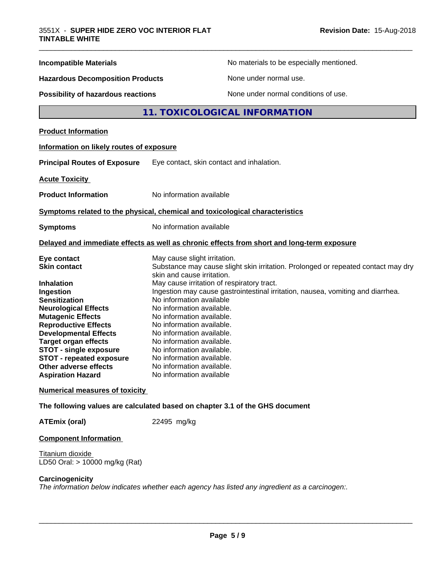| <b>Incompatible Materials</b>                                                                                                                                                                                                                                                                                                                                                         | No materials to be especially mentioned.                                                                                                                                                                                                                                                                                                                                                                                                                                                                                                                                         |
|---------------------------------------------------------------------------------------------------------------------------------------------------------------------------------------------------------------------------------------------------------------------------------------------------------------------------------------------------------------------------------------|----------------------------------------------------------------------------------------------------------------------------------------------------------------------------------------------------------------------------------------------------------------------------------------------------------------------------------------------------------------------------------------------------------------------------------------------------------------------------------------------------------------------------------------------------------------------------------|
| <b>Hazardous Decomposition Products</b>                                                                                                                                                                                                                                                                                                                                               | None under normal use.                                                                                                                                                                                                                                                                                                                                                                                                                                                                                                                                                           |
| <b>Possibility of hazardous reactions</b>                                                                                                                                                                                                                                                                                                                                             | None under normal conditions of use.                                                                                                                                                                                                                                                                                                                                                                                                                                                                                                                                             |
|                                                                                                                                                                                                                                                                                                                                                                                       | 11. TOXICOLOGICAL INFORMATION                                                                                                                                                                                                                                                                                                                                                                                                                                                                                                                                                    |
| <b>Product Information</b>                                                                                                                                                                                                                                                                                                                                                            |                                                                                                                                                                                                                                                                                                                                                                                                                                                                                                                                                                                  |
| Information on likely routes of exposure                                                                                                                                                                                                                                                                                                                                              |                                                                                                                                                                                                                                                                                                                                                                                                                                                                                                                                                                                  |
| <b>Principal Routes of Exposure</b>                                                                                                                                                                                                                                                                                                                                                   | Eye contact, skin contact and inhalation.                                                                                                                                                                                                                                                                                                                                                                                                                                                                                                                                        |
| <b>Acute Toxicity</b>                                                                                                                                                                                                                                                                                                                                                                 |                                                                                                                                                                                                                                                                                                                                                                                                                                                                                                                                                                                  |
| <b>Product Information</b>                                                                                                                                                                                                                                                                                                                                                            | No information available                                                                                                                                                                                                                                                                                                                                                                                                                                                                                                                                                         |
|                                                                                                                                                                                                                                                                                                                                                                                       | Symptoms related to the physical, chemical and toxicological characteristics                                                                                                                                                                                                                                                                                                                                                                                                                                                                                                     |
| <b>Symptoms</b>                                                                                                                                                                                                                                                                                                                                                                       | No information available                                                                                                                                                                                                                                                                                                                                                                                                                                                                                                                                                         |
|                                                                                                                                                                                                                                                                                                                                                                                       | Delayed and immediate effects as well as chronic effects from short and long-term exposure                                                                                                                                                                                                                                                                                                                                                                                                                                                                                       |
| Eye contact<br><b>Skin contact</b><br><b>Inhalation</b><br>Ingestion<br><b>Sensitization</b><br><b>Neurological Effects</b><br><b>Mutagenic Effects</b><br><b>Reproductive Effects</b><br><b>Developmental Effects</b><br><b>Target organ effects</b><br><b>STOT - single exposure</b><br><b>STOT - repeated exposure</b><br><b>Other adverse effects</b><br><b>Aspiration Hazard</b> | May cause slight irritation.<br>Substance may cause slight skin irritation. Prolonged or repeated contact may dry<br>skin and cause irritation.<br>May cause irritation of respiratory tract.<br>Ingestion may cause gastrointestinal irritation, nausea, vomiting and diarrhea.<br>No information available<br>No information available.<br>No information available.<br>No information available.<br>No information available.<br>No information available.<br>No information available.<br>No information available.<br>No information available.<br>No information available |
| <b>Numerical measures of toxicity</b>                                                                                                                                                                                                                                                                                                                                                 |                                                                                                                                                                                                                                                                                                                                                                                                                                                                                                                                                                                  |
|                                                                                                                                                                                                                                                                                                                                                                                       | The following values are calculated based on chapter 3.1 of the GHS document                                                                                                                                                                                                                                                                                                                                                                                                                                                                                                     |
| <b>ATEmix (oral)</b>                                                                                                                                                                                                                                                                                                                                                                  | 22495 mg/kg                                                                                                                                                                                                                                                                                                                                                                                                                                                                                                                                                                      |
|                                                                                                                                                                                                                                                                                                                                                                                       |                                                                                                                                                                                                                                                                                                                                                                                                                                                                                                                                                                                  |

#### **Component Information**

Titanium dioxide LD50 Oral: > 10000 mg/kg (Rat)

#### **Carcinogenicity**

*The information below indicateswhether each agency has listed any ingredient as a carcinogen:.*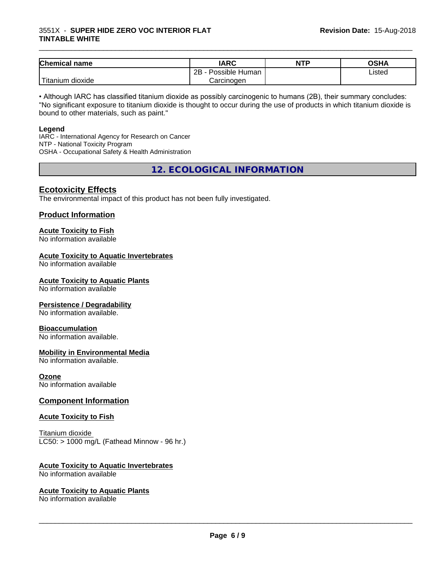#### 3551X - **SUPER HIDE ZERO VOC INTERIOR FLAT TINTABLE WHITE**

| <b>Chemical name</b>  | <b>IARC</b>                 | <b>NTP</b> | OSHA   |
|-----------------------|-----------------------------|------------|--------|
|                       | . .<br>2B<br>Possible Human |            | Listed |
| .<br>⊺itanium dioxide | Carcinogen                  |            |        |

\_\_\_\_\_\_\_\_\_\_\_\_\_\_\_\_\_\_\_\_\_\_\_\_\_\_\_\_\_\_\_\_\_\_\_\_\_\_\_\_\_\_\_\_\_\_\_\_\_\_\_\_\_\_\_\_\_\_\_\_\_\_\_\_\_\_\_\_\_\_\_\_\_\_\_\_\_\_\_\_\_\_\_\_\_\_\_\_\_\_\_\_\_

• Although IARC has classified titanium dioxide as possibly carcinogenic to humans (2B), their summary concludes: "No significant exposure to titanium dioxide is thought to occur during the use of products in which titanium dioxide is bound to other materials, such as paint."

#### **Legend**

IARC - International Agency for Research on Cancer NTP - National Toxicity Program OSHA - Occupational Safety & Health Administration

**12. ECOLOGICAL INFORMATION**

#### **Ecotoxicity Effects**

The environmental impact of this product has not been fully investigated.

#### **Product Information**

## **Acute Toxicity to Fish**

No information available

#### **Acute Toxicity to Aquatic Invertebrates**

No information available

#### **Acute Toxicity to Aquatic Plants**

No information available

#### **Persistence / Degradability**

No information available.

#### **Bioaccumulation**

No information available.

#### **Mobility in Environmental Media**

No information available.

#### **Ozone**

No information available

#### **Component Information**

#### **Acute Toxicity to Fish**

Titanium dioxide  $LC50:$  > 1000 mg/L (Fathead Minnow - 96 hr.)

#### **Acute Toxicity to Aquatic Invertebrates**

No information available

#### **Acute Toxicity to Aquatic Plants**

No information available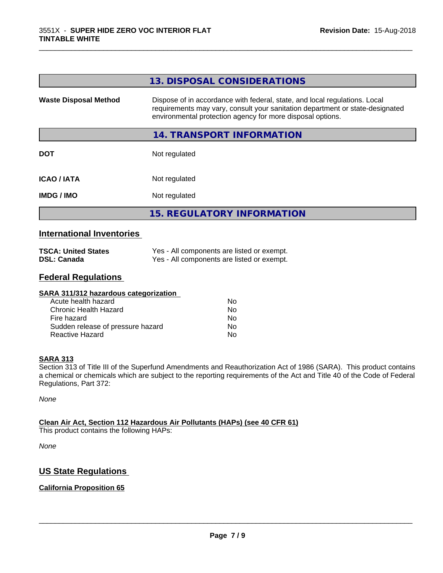|                              | 13. DISPOSAL CONSIDERATIONS                                                                                                                                                                                               |
|------------------------------|---------------------------------------------------------------------------------------------------------------------------------------------------------------------------------------------------------------------------|
| <b>Waste Disposal Method</b> | Dispose of in accordance with federal, state, and local regulations. Local<br>requirements may vary, consult your sanitation department or state-designated<br>environmental protection agency for more disposal options. |
|                              | 14. TRANSPORT INFORMATION                                                                                                                                                                                                 |
| <b>DOT</b>                   | Not regulated                                                                                                                                                                                                             |
| <b>ICAO/IATA</b>             | Not regulated                                                                                                                                                                                                             |
| <b>IMDG / IMO</b>            | Not regulated                                                                                                                                                                                                             |
|                              | <b>15. REGULATORY INFORMATION</b>                                                                                                                                                                                         |

\_\_\_\_\_\_\_\_\_\_\_\_\_\_\_\_\_\_\_\_\_\_\_\_\_\_\_\_\_\_\_\_\_\_\_\_\_\_\_\_\_\_\_\_\_\_\_\_\_\_\_\_\_\_\_\_\_\_\_\_\_\_\_\_\_\_\_\_\_\_\_\_\_\_\_\_\_\_\_\_\_\_\_\_\_\_\_\_\_\_\_\_\_

#### **International Inventories**

| <b>TSCA: United States</b> | Yes - All components are listed or exempt. |
|----------------------------|--------------------------------------------|
| <b>DSL: Canada</b>         | Yes - All components are listed or exempt. |

#### **Federal Regulations**

| SARA 311/312 hazardous categorization |    |  |
|---------------------------------------|----|--|
| Acute health hazard                   | Nο |  |
| Chronic Health Hazard                 | No |  |
| Fire hazard                           | No |  |
| Sudden release of pressure hazard     | No |  |
| Reactive Hazard                       | No |  |

#### **SARA 313**

Section 313 of Title III of the Superfund Amendments and Reauthorization Act of 1986 (SARA). This product contains a chemical or chemicals which are subject to the reporting requirements of the Act and Title 40 of the Code of Federal Regulations, Part 372:

*None*

#### **Clean Air Act,Section 112 Hazardous Air Pollutants (HAPs) (see 40 CFR 61)**

This product contains the following HAPs:

*None*

#### **US State Regulations**

#### **California Proposition 65**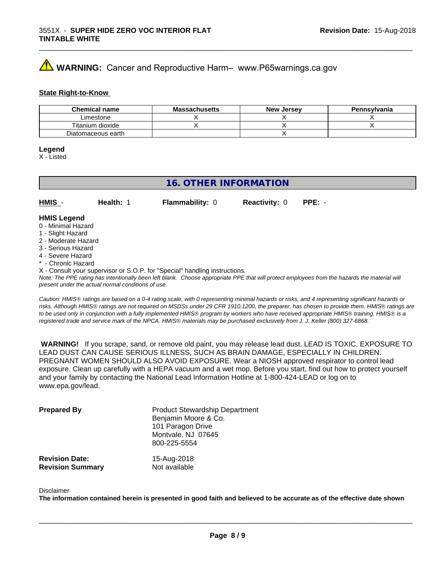## **A** WARNING: Cancer and Reproductive Harm– www.P65warnings.ca.gov

#### **State Right-to-Know**

| <b>Chemical name</b> | <b>Massachusetts</b> | <b>New Jersey</b> | Pennsylvania |
|----------------------|----------------------|-------------------|--------------|
| Limestone            |                      |                   |              |
| Titanium dioxide     |                      |                   |              |
| Diatomaceous earth   |                      |                   |              |

#### **Legend**

X - Listed

#### **16. OTHER INFORMATION**

**HMIS** - **Health:** 1 **Flammability:** 0 **Reactivity:** 0 **PPE:** -

#### **HMIS Legend**

- 0 Minimal Hazard
- 1 Slight Hazard
- 2 Moderate Hazard
- 3 Serious Hazard
- 4 Severe Hazard
- Chronic Hazard
- X Consult your supervisor or S.O.P. for "Special" handling instructions.

*Note: The PPE rating has intentionally been left blank. Choose appropriate PPE that will protect employees from the hazards the material will present under the actual normal conditions of use.*

*Caution: HMISÒ ratings are based on a 0-4 rating scale, with 0 representing minimal hazards or risks, and 4 representing significant hazards or risks. Although HMISÒ ratings are not required on MSDSs under 29 CFR 1910.1200, the preparer, has chosen to provide them. HMISÒ ratings are to be used only in conjunction with a fully implemented HMISÒ program by workers who have received appropriate HMISÒ training. HMISÒ is a registered trade and service mark of the NPCA. HMISÒ materials may be purchased exclusively from J. J. Keller (800) 327-6868.*

 **WARNING!** If you scrape, sand, or remove old paint, you may release lead dust. LEAD IS TOXIC. EXPOSURE TO LEAD DUST CAN CAUSE SERIOUS ILLNESS, SUCH AS BRAIN DAMAGE, ESPECIALLY IN CHILDREN. PREGNANT WOMEN SHOULD ALSO AVOID EXPOSURE.Wear a NIOSH approved respirator to control lead exposure. Clean up carefully with a HEPA vacuum and a wet mop. Before you start, find out how to protect yourself and your family by contacting the National Lead Information Hotline at 1-800-424-LEAD or log on to www.epa.gov/lead.

| <b>Prepared By</b>      | <b>Product Stewardship Department</b><br>Benjamin Moore & Co.<br>101 Paragon Drive<br>Montvale, NJ 07645<br>800-225-5554 |
|-------------------------|--------------------------------------------------------------------------------------------------------------------------|
| <b>Revision Date:</b>   | 15-Aug-2018                                                                                                              |
| <b>Revision Summary</b> | Not available                                                                                                            |

#### Disclaimer

The information contained herein is presented in good faith and believed to be accurate as of the effective date shown